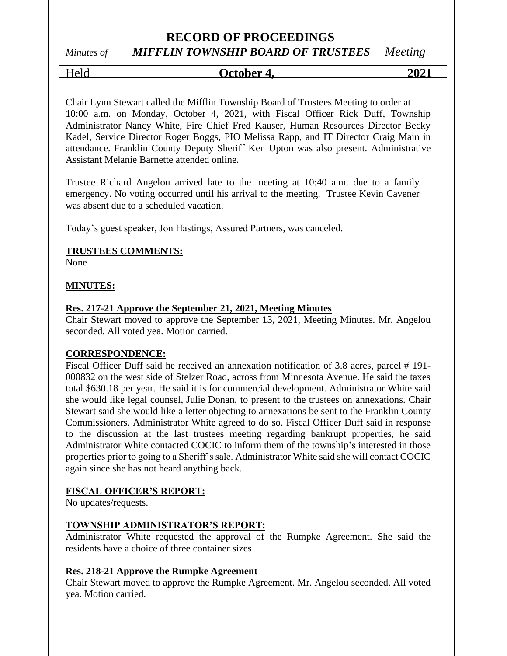# **RECORD OF PROCEEDINGS**

# *Minutes of MIFFLIN TOWNSHIP BOARD OF TRUSTEES Meeting*

Held **October 4, 2021**

Chair Lynn Stewart called the Mifflin Township Board of Trustees Meeting to order at 10:00 a.m. on Monday, October 4, 2021, with Fiscal Officer Rick Duff, Township Administrator Nancy White, Fire Chief Fred Kauser, Human Resources Director Becky Kadel, Service Director Roger Boggs, PIO Melissa Rapp, and IT Director Craig Main in attendance. Franklin County Deputy Sheriff Ken Upton was also present. Administrative Assistant Melanie Barnette attended online.

Trustee Richard Angelou arrived late to the meeting at 10:40 a.m. due to a family emergency. No voting occurred until his arrival to the meeting. Trustee Kevin Cavener was absent due to a scheduled vacation.

Today's guest speaker, Jon Hastings, Assured Partners, was canceled.

#### **TRUSTEES COMMENTS:**

None

#### **MINUTES:**

#### **Res. 217-21 Approve the September 21, 2021, Meeting Minutes**

Chair Stewart moved to approve the September 13, 2021, Meeting Minutes. Mr. Angelou seconded. All voted yea. Motion carried.

#### **CORRESPONDENCE:**

Fiscal Officer Duff said he received an annexation notification of 3.8 acres, parcel # 191- 000832 on the west side of Stelzer Road, across from Minnesota Avenue. He said the taxes total \$630.18 per year. He said it is for commercial development. Administrator White said she would like legal counsel, Julie Donan, to present to the trustees on annexations. Chair Stewart said she would like a letter objecting to annexations be sent to the Franklin County Commissioners. Administrator White agreed to do so. Fiscal Officer Duff said in response to the discussion at the last trustees meeting regarding bankrupt properties, he said Administrator White contacted COCIC to inform them of the township's interested in those properties prior to going to a Sheriff's sale. Administrator White said she will contact COCIC again since she has not heard anything back.

#### **FISCAL OFFICER'S REPORT:**

No updates/requests.

#### **TOWNSHIP ADMINISTRATOR'S REPORT:**

Administrator White requested the approval of the Rumpke Agreement. She said the residents have a choice of three container sizes.

#### **Res. 218-21 Approve the Rumpke Agreement**

Chair Stewart moved to approve the Rumpke Agreement. Mr. Angelou seconded. All voted yea. Motion carried.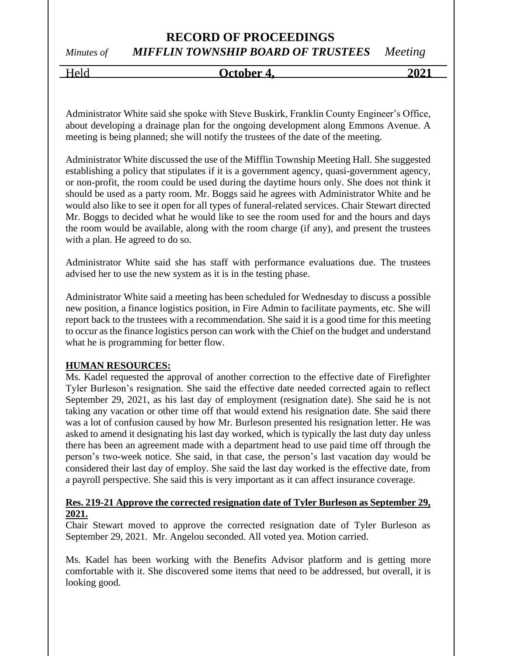## **RECORD OF PROCEEDINGS** *Minutes of MIFFLIN TOWNSHIP BOARD OF TRUSTEES Meeting*

# Held **October 4, 2021**

Administrator White said she spoke with Steve Buskirk, Franklin County Engineer's Office, about developing a drainage plan for the ongoing development along Emmons Avenue. A meeting is being planned; she will notify the trustees of the date of the meeting.

Administrator White discussed the use of the Mifflin Township Meeting Hall. She suggested establishing a policy that stipulates if it is a government agency, quasi-government agency, or non-profit, the room could be used during the daytime hours only. She does not think it should be used as a party room. Mr. Boggs said he agrees with Administrator White and he would also like to see it open for all types of funeral-related services. Chair Stewart directed Mr. Boggs to decided what he would like to see the room used for and the hours and days the room would be available, along with the room charge (if any), and present the trustees with a plan. He agreed to do so.

Administrator White said she has staff with performance evaluations due. The trustees advised her to use the new system as it is in the testing phase.

Administrator White said a meeting has been scheduled for Wednesday to discuss a possible new position, a finance logistics position, in Fire Admin to facilitate payments, etc. She will report back to the trustees with a recommendation. She said it is a good time for this meeting to occur as the finance logistics person can work with the Chief on the budget and understand what he is programming for better flow.

#### **HUMAN RESOURCES:**

Ms. Kadel requested the approval of another correction to the effective date of Firefighter Tyler Burleson's resignation. She said the effective date needed corrected again to reflect September 29, 2021, as his last day of employment (resignation date). She said he is not taking any vacation or other time off that would extend his resignation date. She said there was a lot of confusion caused by how Mr. Burleson presented his resignation letter. He was asked to amend it designating his last day worked, which is typically the last duty day unless there has been an agreement made with a department head to use paid time off through the person's two-week notice. She said, in that case, the person's last vacation day would be considered their last day of employ. She said the last day worked is the effective date, from a payroll perspective. She said this is very important as it can affect insurance coverage.

#### **Res. 219-21 Approve the corrected resignation date of Tyler Burleson as September 29, 2021.**

Chair Stewart moved to approve the corrected resignation date of Tyler Burleson as September 29, 2021. Mr. Angelou seconded. All voted yea. Motion carried.

Ms. Kadel has been working with the Benefits Advisor platform and is getting more comfortable with it. She discovered some items that need to be addressed, but overall, it is looking good.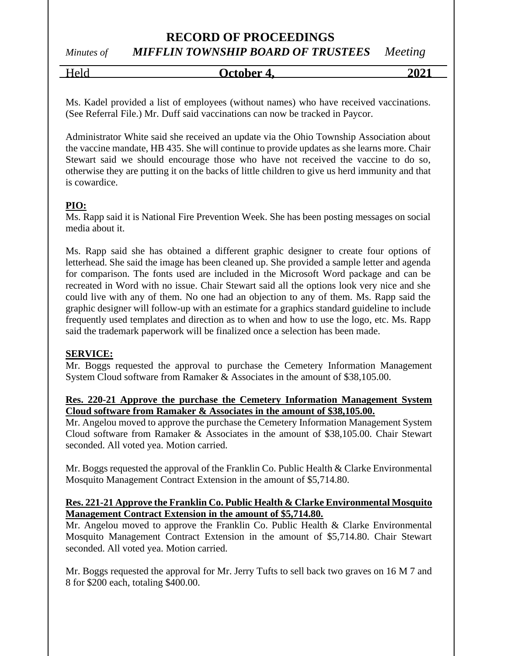# **RECORD OF PROCEEDINGS**

*Minutes of MIFFLIN TOWNSHIP BOARD OF TRUSTEES Meeting*

Held **October 4, 2021**

Ms. Kadel provided a list of employees (without names) who have received vaccinations. (See Referral File.) Mr. Duff said vaccinations can now be tracked in Paycor.

Administrator White said she received an update via the Ohio Township Association about the vaccine mandate, HB 435. She will continue to provide updates as she learns more. Chair Stewart said we should encourage those who have not received the vaccine to do so, otherwise they are putting it on the backs of little children to give us herd immunity and that is cowardice.

#### **PIO:**

Ms. Rapp said it is National Fire Prevention Week. She has been posting messages on social media about it.

Ms. Rapp said she has obtained a different graphic designer to create four options of letterhead. She said the image has been cleaned up. She provided a sample letter and agenda for comparison. The fonts used are included in the Microsoft Word package and can be recreated in Word with no issue. Chair Stewart said all the options look very nice and she could live with any of them. No one had an objection to any of them. Ms. Rapp said the graphic designer will follow-up with an estimate for a graphics standard guideline to include frequently used templates and direction as to when and how to use the logo, etc. Ms. Rapp said the trademark paperwork will be finalized once a selection has been made.

#### **SERVICE:**

Mr. Boggs requested the approval to purchase the Cemetery Information Management System Cloud software from Ramaker & Associates in the amount of \$38,105.00.

#### **Res. 220-21 Approve the purchase the Cemetery Information Management System Cloud software from Ramaker & Associates in the amount of \$38,105.00.**

Mr. Angelou moved to approve the purchase the Cemetery Information Management System Cloud software from Ramaker & Associates in the amount of \$38,105.00. Chair Stewart seconded. All voted yea. Motion carried.

Mr. Boggs requested the approval of the Franklin Co. Public Health & Clarke Environmental Mosquito Management Contract Extension in the amount of \$5,714.80.

#### **Res. 221-21 Approve the Franklin Co. Public Health & Clarke Environmental Mosquito Management Contract Extension in the amount of \$5,714.80.**

Mr. Angelou moved to approve the Franklin Co. Public Health & Clarke Environmental Mosquito Management Contract Extension in the amount of \$5,714.80. Chair Stewart seconded. All voted yea. Motion carried.

Mr. Boggs requested the approval for Mr. Jerry Tufts to sell back two graves on 16 M 7 and 8 for \$200 each, totaling \$400.00.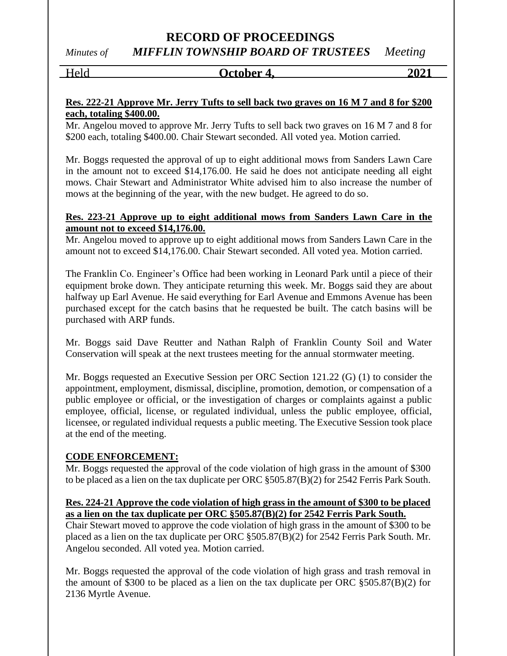## **RECORD OF PROCEEDINGS** *Minutes of MIFFLIN TOWNSHIP BOARD OF TRUSTEES Meeting*

#### Held **October 4, 2021**

#### **Res. 222-21 Approve Mr. Jerry Tufts to sell back two graves on 16 M 7 and 8 for \$200 each, totaling \$400.00.**

Mr. Angelou moved to approve Mr. Jerry Tufts to sell back two graves on 16 M 7 and 8 for \$200 each, totaling \$400.00. Chair Stewart seconded. All voted yea. Motion carried.

Mr. Boggs requested the approval of up to eight additional mows from Sanders Lawn Care in the amount not to exceed \$14,176.00. He said he does not anticipate needing all eight mows. Chair Stewart and Administrator White advised him to also increase the number of mows at the beginning of the year, with the new budget. He agreed to do so.

#### **Res. 223-21 Approve up to eight additional mows from Sanders Lawn Care in the amount not to exceed \$14,176.00.**

Mr. Angelou moved to approve up to eight additional mows from Sanders Lawn Care in the amount not to exceed \$14,176.00. Chair Stewart seconded. All voted yea. Motion carried.

The Franklin Co. Engineer's Office had been working in Leonard Park until a piece of their equipment broke down. They anticipate returning this week. Mr. Boggs said they are about halfway up Earl Avenue. He said everything for Earl Avenue and Emmons Avenue has been purchased except for the catch basins that he requested be built. The catch basins will be purchased with ARP funds.

Mr. Boggs said Dave Reutter and Nathan Ralph of Franklin County Soil and Water Conservation will speak at the next trustees meeting for the annual stormwater meeting.

Mr. Boggs requested an Executive Session per ORC Section 121.22 (G) (1) to consider the appointment, employment, dismissal, discipline, promotion, demotion, or compensation of a public employee or official, or the investigation of charges or complaints against a public employee, official, license, or regulated individual, unless the public employee, official, licensee, or regulated individual requests a public meeting. The Executive Session took place at the end of the meeting.

#### **CODE ENFORCEMENT:**

Mr. Boggs requested the approval of the code violation of high grass in the amount of \$300 to be placed as a lien on the tax duplicate per ORC §505.87(B)(2) for 2542 Ferris Park South.

#### **Res. 224-21 Approve the code violation of high grass in the amount of \$300 to be placed as a lien on the tax duplicate per ORC §505.87(B)(2) for 2542 Ferris Park South.**

Chair Stewart moved to approve the code violation of high grass in the amount of \$300 to be placed as a lien on the tax duplicate per ORC §505.87(B)(2) for 2542 Ferris Park South. Mr. Angelou seconded. All voted yea. Motion carried.

Mr. Boggs requested the approval of the code violation of high grass and trash removal in the amount of \$300 to be placed as a lien on the tax duplicate per ORC §505.87(B)(2) for 2136 Myrtle Avenue.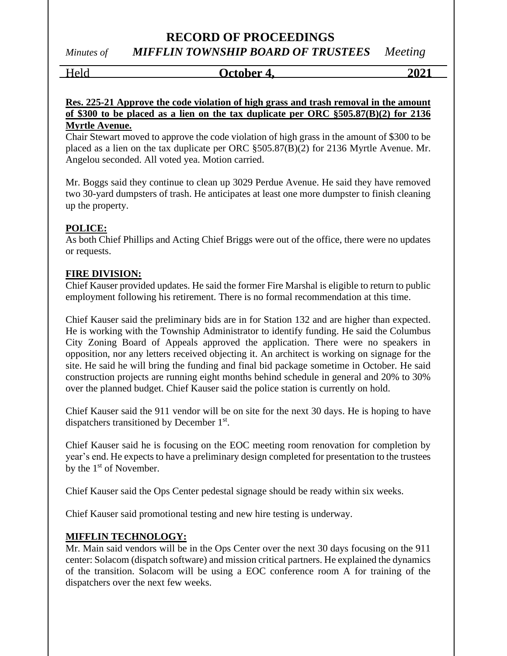## **RECORD OF PROCEEDINGS** *Minutes of MIFFLIN TOWNSHIP BOARD OF TRUSTEES Meeting*

# Held **October 4, 2021**

**Res. 225-21 Approve the code violation of high grass and trash removal in the amount of \$300 to be placed as a lien on the tax duplicate per ORC §505.87(B)(2) for 2136 Myrtle Avenue.**

Chair Stewart moved to approve the code violation of high grass in the amount of \$300 to be placed as a lien on the tax duplicate per ORC §505.87(B)(2) for 2136 Myrtle Avenue. Mr. Angelou seconded. All voted yea. Motion carried.

Mr. Boggs said they continue to clean up 3029 Perdue Avenue. He said they have removed two 30-yard dumpsters of trash. He anticipates at least one more dumpster to finish cleaning up the property.

#### **POLICE:**

As both Chief Phillips and Acting Chief Briggs were out of the office, there were no updates or requests.

#### **FIRE DIVISION:**

Chief Kauser provided updates. He said the former Fire Marshal is eligible to return to public employment following his retirement. There is no formal recommendation at this time.

Chief Kauser said the preliminary bids are in for Station 132 and are higher than expected. He is working with the Township Administrator to identify funding. He said the Columbus City Zoning Board of Appeals approved the application. There were no speakers in opposition, nor any letters received objecting it. An architect is working on signage for the site. He said he will bring the funding and final bid package sometime in October. He said construction projects are running eight months behind schedule in general and 20% to 30% over the planned budget. Chief Kauser said the police station is currently on hold.

Chief Kauser said the 911 vendor will be on site for the next 30 days. He is hoping to have dispatchers transitioned by December 1<sup>st</sup>.

Chief Kauser said he is focusing on the EOC meeting room renovation for completion by year's end. He expects to have a preliminary design completed for presentation to the trustees by the  $1<sup>st</sup>$  of November.

Chief Kauser said the Ops Center pedestal signage should be ready within six weeks.

Chief Kauser said promotional testing and new hire testing is underway.

#### **MIFFLIN TECHNOLOGY:**

Mr. Main said vendors will be in the Ops Center over the next 30 days focusing on the 911 center: Solacom (dispatch software) and mission critical partners. He explained the dynamics of the transition. Solacom will be using a EOC conference room A for training of the dispatchers over the next few weeks.